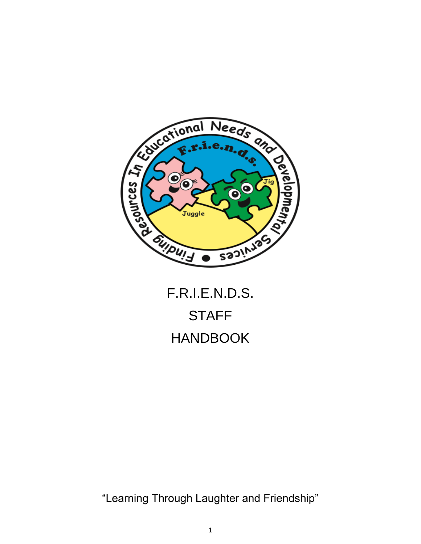

# **STAFF** HANDBOOK

"Learning Through Laughter and Friendship"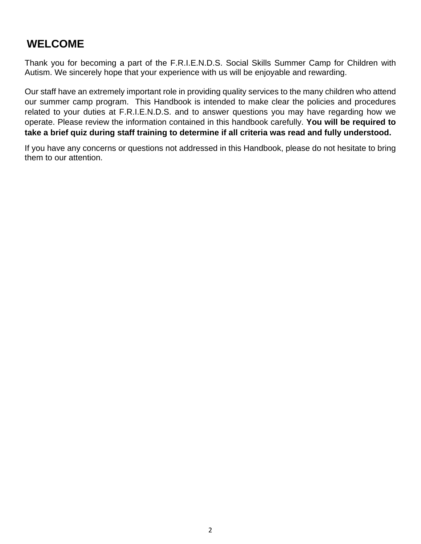## **WELCOME**

Thank you for becoming a part of the F.R.I.E.N.D.S. Social Skills Summer Camp for Children with Autism. We sincerely hope that your experience with us will be enjoyable and rewarding.

Our staff have an extremely important role in providing quality services to the many children who attend our summer camp program. This Handbook is intended to make clear the policies and procedures related to your duties at F.R.I.E.N.D.S. and to answer questions you may have regarding how we operate. Please review the information contained in this handbook carefully. **You will be required to take a brief quiz during staff training to determine if all criteria was read and fully understood.**

If you have any concerns or questions not addressed in this Handbook, please do not hesitate to bring them to our attention.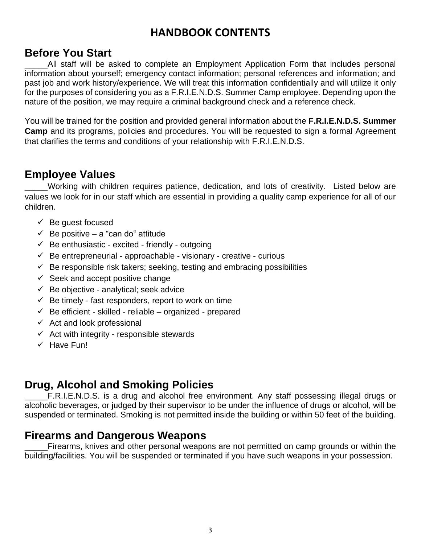## **HANDBOOK CONTENTS**

#### **Before You Start**

All staff will be asked to complete an Employment Application Form that includes personal information about yourself; emergency contact information; personal references and information; and past job and work history/experience. We will treat this information confidentially and will utilize it only for the purposes of considering you as a F.R.I.E.N.D.S. Summer Camp employee. Depending upon the nature of the position, we may require a criminal background check and a reference check.

You will be trained for the position and provided general information about the **F.R.I.E.N.D.S. Summer Camp** and its programs, policies and procedures. You will be requested to sign a formal Agreement that clarifies the terms and conditions of your relationship with F.R.I.E.N.D.S.

#### **Employee Values**

\_\_\_\_\_Working with children requires patience, dedication, and lots of creativity. Listed below are values we look for in our staff which are essential in providing a quality camp experience for all of our children.

- $\checkmark$  Be quest focused
- $\checkmark$  Be positive a "can do" attitude
- $\checkmark$  Be enthusiastic excited friendly outgoing
- $\checkmark$  Be entrepreneurial approachable visionary creative curious
- $\checkmark$  Be responsible risk takers; seeking, testing and embracing possibilities
- $\checkmark$  Seek and accept positive change
- $\checkmark$  Be objective analytical; seek advice
- $\checkmark$  Be timely fast responders, report to work on time
- $\checkmark$  Be efficient skilled reliable organized prepared
- $\checkmark$  Act and look professional
- $\checkmark$  Act with integrity responsible stewards
- $\checkmark$  Have Fun!

## **Drug, Alcohol and Smoking Policies**

F.R.I.E.N.D.S. is a drug and alcohol free environment. Any staff possessing illegal drugs or alcoholic beverages, or judged by their supervisor to be under the influence of drugs or alcohol, will be suspended or terminated. Smoking is not permitted inside the building or within 50 feet of the building.

#### **Firearms and Dangerous Weapons**

Firearms, knives and other personal weapons are not permitted on camp grounds or within the building/facilities. You will be suspended or terminated if you have such weapons in your possession.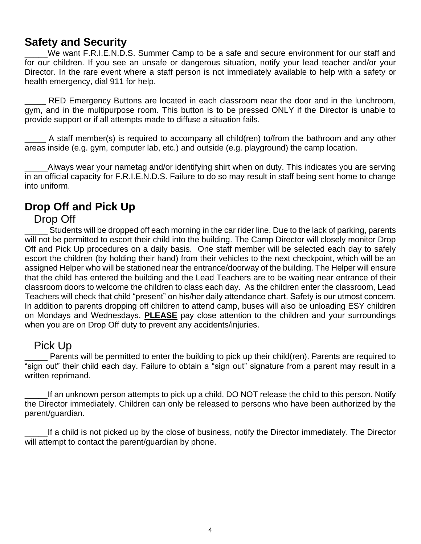## **Safety and Security**

We want F.R.I.E.N.D.S. Summer Camp to be a safe and secure environment for our staff and for our children. If you see an unsafe or dangerous situation, notify your lead teacher and/or your Director. In the rare event where a staff person is not immediately available to help with a safety or health emergency, dial 911 for help.

RED Emergency Buttons are located in each classroom near the door and in the lunchroom, gym, and in the multipurpose room. This button is to be pressed ONLY if the Director is unable to provide support or if all attempts made to diffuse a situation fails.

\_\_\_\_\_ A staff member(s) is required to accompany all child(ren) to/from the bathroom and any other areas inside (e.g. gym, computer lab, etc.) and outside (e.g. playground) the camp location.

\_\_\_\_\_Always wear your nametag and/or identifying shirt when on duty. This indicates you are serving in an official capacity for F.R.I.E.N.D.S. Failure to do so may result in staff being sent home to change into uniform.

#### **Drop Off and Pick Up**

#### Drop Off

\_\_\_\_\_ Students will be dropped off each morning in the car rider line. Due to the lack of parking, parents will not be permitted to escort their child into the building. The Camp Director will closely monitor Drop Off and Pick Up procedures on a daily basis. One staff member will be selected each day to safely escort the children (by holding their hand) from their vehicles to the next checkpoint, which will be an assigned Helper who will be stationed near the entrance/doorway of the building. The Helper will ensure that the child has entered the building and the Lead Teachers are to be waiting near entrance of their classroom doors to welcome the children to class each day. As the children enter the classroom, Lead Teachers will check that child "present" on his/her daily attendance chart. Safety is our utmost concern. In addition to parents dropping off children to attend camp, buses will also be unloading ESY children on Mondays and Wednesdays. **PLEASE** pay close attention to the children and your surroundings when you are on Drop Off duty to prevent any accidents/injuries.

#### Pick Up

Parents will be permitted to enter the building to pick up their child(ren). Parents are required to "sign out" their child each day. Failure to obtain a "sign out" signature from a parent may result in a written reprimand.

If an unknown person attempts to pick up a child, DO NOT release the child to this person. Notify the Director immediately. Children can only be released to persons who have been authorized by the parent/guardian.

\_\_\_\_\_If a child is not picked up by the close of business, notify the Director immediately. The Director will attempt to contact the parent/guardian by phone.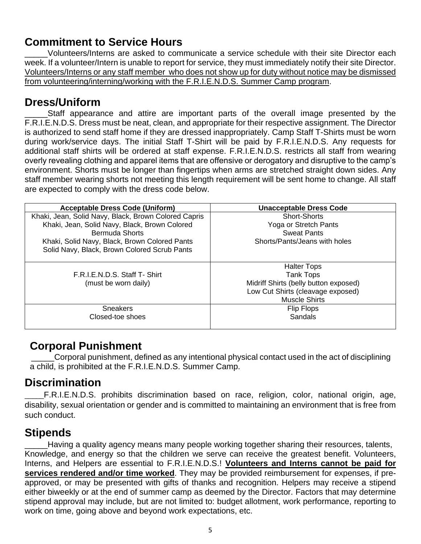## **Commitment to Service Hours**

Volunteers/Interns are asked to communicate a service schedule with their site Director each week. If a volunteer/Intern is unable to report for service, they must immediately notify their site Director. Volunteers/Interns or any staff member who does not show up for duty without notice may be dismissed from volunteering/interning/working with the F.R.I.E.N.D.S. Summer Camp program.

#### **Dress/Uniform**

\_\_\_\_\_Staff appearance and attire are important parts of the overall image presented by the F.R.I.E.N.D.S. Dress must be neat, clean, and appropriate for their respective assignment. The Director is authorized to send staff home if they are dressed inappropriately. Camp Staff T-Shirts must be worn during work/service days. The initial Staff T-Shirt will be paid by F.R.I.E.N.D.S. Any requests for additional staff shirts will be ordered at staff expense. F.R.I.E.N.D.S. restricts all staff from wearing overly revealing clothing and apparel items that are offensive or derogatory and disruptive to the camp's environment. Shorts must be longer than fingertips when arms are stretched straight down sides. Any staff member wearing shorts not meeting this length requirement will be sent home to change. All staff are expected to comply with the dress code below.

| <b>Acceptable Dress Code (Uniform)</b>               | <b>Unacceptable Dress Code</b>        |  |
|------------------------------------------------------|---------------------------------------|--|
| Khaki, Jean, Solid Navy, Black, Brown Colored Capris | <b>Short-Shorts</b>                   |  |
| Khaki, Jean, Solid Navy, Black, Brown Colored        | Yoga or Stretch Pants                 |  |
| Bermuda Shorts                                       | <b>Sweat Pants</b>                    |  |
| Khaki, Solid Navy, Black, Brown Colored Pants        | Shorts/Pants/Jeans with holes         |  |
| Solid Navy, Black, Brown Colored Scrub Pants         |                                       |  |
|                                                      |                                       |  |
|                                                      | <b>Halter Tops</b>                    |  |
| F.R.I.E.N.D.S. Staff T- Shirt                        | <b>Tank Tops</b>                      |  |
| (must be worn daily)                                 | Midriff Shirts (belly button exposed) |  |
|                                                      | Low Cut Shirts (cleavage exposed)     |  |
|                                                      | <b>Muscle Shirts</b>                  |  |
| <b>Sneakers</b>                                      | Flip Flops                            |  |
| Closed-toe shoes                                     | Sandals                               |  |
|                                                      |                                       |  |

## **Corporal Punishment**

Corporal punishment, defined as any intentional physical contact used in the act of disciplining a child, is prohibited at the F.R.I.E.N.D.S. Summer Camp.

## **Discrimination**

\_\_\_\_\_F.R.I.E.N.D.S. prohibits discrimination based on race, religion, color, national origin, age, disability, sexual orientation or gender and is committed to maintaining an environment that is free from such conduct.

## **Stipends**

Having a quality agency means many people working together sharing their resources, talents, Knowledge, and energy so that the children we serve can receive the greatest benefit. Volunteers, Interns, and Helpers are essential to F.R.I.E.N.D.S.! **Volunteers and Interns cannot be paid for services rendered and/or time worked**. They may be provided reimbursement for expenses, if preapproved, or may be presented with gifts of thanks and recognition. Helpers may receive a stipend either biweekly or at the end of summer camp as deemed by the Director. Factors that may determine stipend approval may include, but are not limited to: budget allotment, work performance, reporting to work on time, going above and beyond work expectations, etc.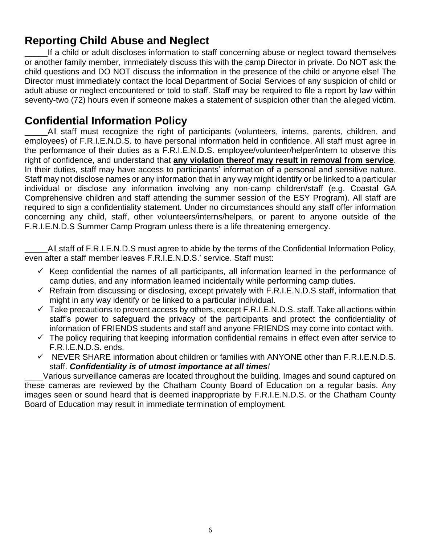## **Reporting Child Abuse and Neglect**

If a child or adult discloses information to staff concerning abuse or neglect toward themselves or another family member, immediately discuss this with the camp Director in private. Do NOT ask the child questions and DO NOT discuss the information in the presence of the child or anyone else! The Director must immediately contact the local Department of Social Services of any suspicion of child or adult abuse or neglect encountered or told to staff. Staff may be required to file a report by law within seventy-two (72) hours even if someone makes a statement of suspicion other than the alleged victim.

## **Confidential Information Policy**

\_\_\_\_\_All staff must recognize the right of participants (volunteers, interns, parents, children, and employees) of F.R.I.E.N.D.S. to have personal information held in confidence. All staff must agree in the performance of their duties as a F.R.I.E.N.D.S. employee/volunteer/helper/intern to observe this right of confidence, and understand that **any violation thereof may result in removal from service**. In their duties, staff may have access to participants' information of a personal and sensitive nature. Staff may not disclose names or any information that in any way might identify or be linked to a particular individual or disclose any information involving any non-camp children/staff (e.g. Coastal GA Comprehensive children and staff attending the summer session of the ESY Program). All staff are required to sign a confidentiality statement. Under no circumstances should any staff offer information concerning any child, staff, other volunteers/interns/helpers, or parent to anyone outside of the F.R.I.E.N.D.S Summer Camp Program unless there is a life threatening emergency.

All staff of F.R.I.E.N.D.S must agree to abide by the terms of the Confidential Information Policy, even after a staff member leaves F.R.I.E.N.D.S.' service. Staff must:

- $\checkmark$  Keep confidential the names of all participants, all information learned in the performance of camp duties, and any information learned incidentally while performing camp duties.
- $\checkmark$  Refrain from discussing or disclosing, except privately with F.R.I.E.N.D.S staff, information that might in any way identify or be linked to a particular individual.
- $\checkmark$  Take precautions to prevent access by others, except F.R.I.E.N.D.S. staff. Take all actions within staff's power to safeguard the privacy of the participants and protect the confidentiality of information of FRIENDS students and staff and anyone FRIENDS may come into contact with.
- $\checkmark$  The policy requiring that keeping information confidential remains in effect even after service to F.R.I.E.N.D.S. ends.
- $\checkmark$  NEVER SHARE information about children or families with ANYONE other than F.R.I.E.N.D.S. staff. *Confidentiality is of utmost importance at all times!*

\_\_\_\_Various surveillance cameras are located throughout the building. Images and sound captured on these cameras are reviewed by the Chatham County Board of Education on a regular basis. Any images seen or sound heard that is deemed inappropriate by F.R.I.E.N.D.S. or the Chatham County Board of Education may result in immediate termination of employment.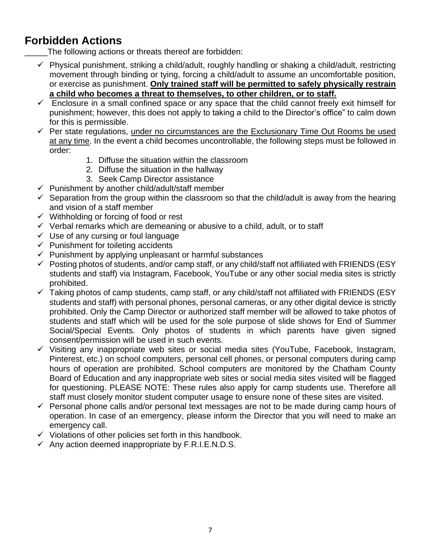## **Forbidden Actions**

The following actions or threats thereof are forbidden:

- $\checkmark$  Physical punishment, striking a child/adult, roughly handling or shaking a child/adult, restricting movement through binding or tying, forcing a child/adult to assume an uncomfortable position, or exercise as punishment. **Only trained staff will be permitted to safely physically restrain a child who becomes a threat to themselves, to other children, or to staff.**
- $\checkmark$  Enclosure in a small confined space or any space that the child cannot freely exit himself for punishment; however, this does not apply to taking a child to the Director's office" to calm down for this is permissible.
- $\checkmark$  Per state regulations, under no circumstances are the Exclusionary Time Out Rooms be used at any time. In the event a child becomes uncontrollable, the following steps must be followed in order:
	- 1. Diffuse the situation within the classroom
	- 2. Diffuse the situation in the hallway
	- 3. Seek Camp Director assistance
- $\checkmark$  Punishment by another child/adult/staff member
- $\checkmark$  Separation from the group within the classroom so that the child/adult is away from the hearing and vision of a staff member
- $\checkmark$  Withholding or forcing of food or rest
- $\checkmark$  Verbal remarks which are demeaning or abusive to a child, adult, or to staff
- $\checkmark$  Use of any cursing or foul language
- $\checkmark$  Punishment for toileting accidents
- $\checkmark$  Punishment by applying unpleasant or harmful substances
- $\checkmark$  Posting photos of students, and/or camp staff, or any child/staff not affiliated with FRIENDS (ESY students and staff) via Instagram, Facebook, YouTube or any other social media sites is strictly prohibited.
- $\checkmark$  Taking photos of camp students, camp staff, or any child/staff not affiliated with FRIENDS (ESY students and staff) with personal phones, personal cameras, or any other digital device is strictly prohibited. Only the Camp Director or authorized staff member will be allowed to take photos of students and staff which will be used for the sole purpose of slide shows for End of Summer Social/Special Events. Only photos of students in which parents have given signed consent/permission will be used in such events.
- $\checkmark$  Visiting any inappropriate web sites or social media sites (YouTube, Facebook, Instagram, Pinterest, etc.) on school computers, personal cell phones, or personal computers during camp hours of operation are prohibited. School computers are monitored by the Chatham County Board of Education and any inappropriate web sites or social media sites visited will be flagged for questioning. PLEASE NOTE: These rules also apply for camp students use. Therefore all staff must closely monitor student computer usage to ensure none of these sites are visited.
- $\checkmark$  Personal phone calls and/or personal text messages are not to be made during camp hours of operation. In case of an emergency, please inform the Director that you will need to make an emergency call.
- $\checkmark$  Violations of other policies set forth in this handbook.
- $\checkmark$  Any action deemed inappropriate by F.R.I.E.N.D.S.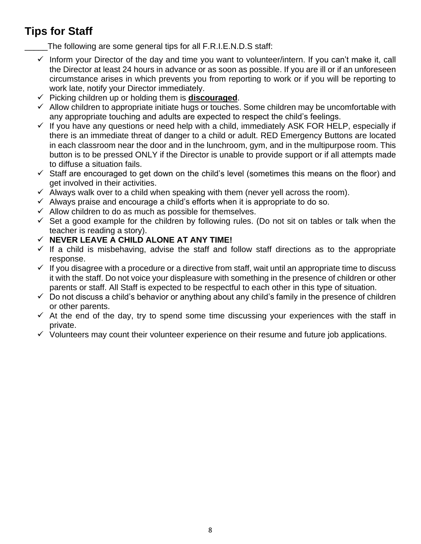# **Tips for Staff**

The following are some general tips for all F.R.I.E.N.D.S staff:

- $\checkmark$  Inform your Director of the day and time you want to volunteer/intern. If you can't make it, call the Director at least 24 hours in advance or as soon as possible. If you are ill or if an unforeseen circumstance arises in which prevents you from reporting to work or if you will be reporting to work late, notify your Director immediately.
- $\checkmark$  Picking children up or holding them is **discouraged**.
- $\checkmark$  Allow children to appropriate initiate hugs or touches. Some children may be uncomfortable with any appropriate touching and adults are expected to respect the child's feelings.
- $\checkmark$  If you have any questions or need help with a child, immediately ASK FOR HELP, especially if there is an immediate threat of danger to a child or adult. RED Emergency Buttons are located in each classroom near the door and in the lunchroom, gym, and in the multipurpose room. This button is to be pressed ONLY if the Director is unable to provide support or if all attempts made to diffuse a situation fails.
- $\checkmark$  Staff are encouraged to get down on the child's level (sometimes this means on the floor) and get involved in their activities.
- $\checkmark$  Always walk over to a child when speaking with them (never yell across the room).
- $\checkmark$  Always praise and encourage a child's efforts when it is appropriate to do so.
- $\checkmark$  Allow children to do as much as possible for themselves.
- $\checkmark$  Set a good example for the children by following rules. (Do not sit on tables or talk when the teacher is reading a story).
- **NEVER LEAVE A CHILD ALONE AT ANY TIME!**
- $\checkmark$  If a child is misbehaving, advise the staff and follow staff directions as to the appropriate response.
- $\checkmark$  If you disagree with a procedure or a directive from staff, wait until an appropriate time to discuss it with the staff. Do not voice your displeasure with something in the presence of children or other parents or staff. All Staff is expected to be respectful to each other in this type of situation.
- $\checkmark$  Do not discuss a child's behavior or anything about any child's family in the presence of children or other parents.
- $\checkmark$  At the end of the day, try to spend some time discussing your experiences with the staff in private.
- $\checkmark$  Volunteers may count their volunteer experience on their resume and future job applications.